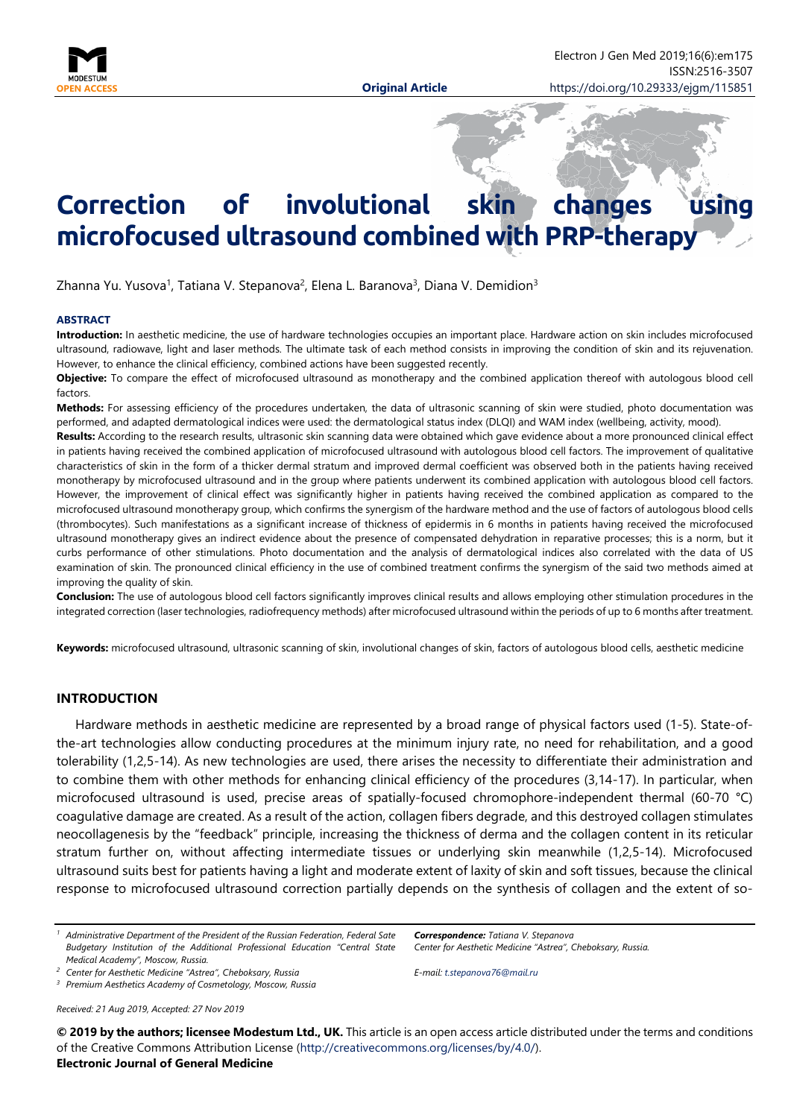

# **Correction of involutional skin changes using microfocused ultrasound combined with PRP-therapy**

Zhanna Yu. Yusova<sup>1</sup>, Tatiana V. Stepanova<sup>2</sup>, Elena L. Baranova<sup>3</sup>, Diana V. Demidion<sup>3</sup>

#### **ABSTRACT**

**Introduction:** In aesthetic medicine, the use of hardware technologies occupies an important place. Hardware action on skin includes microfocused ultrasound, radiowave, light and laser methods. The ultimate task of each method consists in improving the condition of skin and its rejuvenation. However, to enhance the clinical efficiency, combined actions have been suggested recently.

**Objective:** To compare the effect of microfocused ultrasound as monotherapy and the combined application thereof with autologous blood cell factors.

**Methods:** For assessing efficiency of the procedures undertaken, the data of ultrasonic scanning of skin were studied, photo documentation was performed, and adapted dermatological indices were used: the dermatological status index (DLQI) and WAM index (wellbeing, activity, mood).

**Results:** According to the research results, ultrasonic skin scanning data were obtained which gave evidence about a more pronounced clinical effect in patients having received the combined application of microfocused ultrasound with autologous blood cell factors. The improvement of qualitative characteristics of skin in the form of a thicker dermal stratum and improved dermal coefficient was observed both in the patients having received monotherapy by microfocused ultrasound and in the group where patients underwent its combined application with autologous blood cell factors. However, the improvement of clinical effect was significantly higher in patients having received the combined application as compared to the microfocused ultrasound monotherapy group, which confirms the synergism of the hardware method and the use of factors of autologous blood cells (thrombocytes). Such manifestations as a significant increase of thickness of epidermis in 6 months in patients having received the microfocused ultrasound monotherapy gives an indirect evidence about the presence of compensated dehydration in reparative processes; this is a norm, but it curbs performance of other stimulations. Photo documentation and the analysis of dermatological indices also correlated with the data of US examination of skin. The pronounced clinical efficiency in the use of combined treatment confirms the synergism of the said two methods aimed at improving the quality of skin.

**Conclusion:** The use of autologous blood cell factors significantly improves clinical results and allows employing other stimulation procedures in the integrated correction (laser technologies, radiofrequency methods) after microfocused ultrasound within the periods of up to 6 months after treatment.

**Keywords:** microfocused ultrasound, ultrasonic scanning of skin, involutional changes of skin, factors of autologous blood cells, aesthetic medicine

#### **INTRODUCTION**

Hardware methods in aesthetic medicine are represented by a broad range of physical factors used (1-5). State-ofthe-art technologies allow conducting procedures at the minimum injury rate, no need for rehabilitation, and a good tolerability (1,2,5-14). As new technologies are used, there arises the necessity to differentiate their administration and to combine them with other methods for enhancing clinical efficiency of the procedures (3,14-17). In particular, when microfocused ultrasound is used, precise areas of spatially-focused chromophore-independent thermal (60-70 °C) coagulative damage are created. As a result of the action, collagen fibers degrade, and this destroyed collagen stimulates neocollagenesis by the "feedback" principle, increasing the thickness of derma and the collagen content in its reticular stratum further on, without affecting intermediate tissues or underlying skin meanwhile (1,2,5-14). Microfocused ultrasound suits best for patients having a light and moderate extent of laxity of skin and soft tissues, because the clinical response to microfocused ultrasound correction partially depends on the synthesis of collagen and the extent of so-

*<sup>1</sup> Administrative Department of the President of the Russian Federation, Federal Sate Budgetary Institution of the Additional Professional Education "Central State Medical Academy", Moscow, Russia.*

*<sup>2</sup> Center for Aesthetic Medicine "Astrea", Cheboksary, Russia*

*<sup>3</sup> Premium Aesthetics Academy of Cosmetology, Moscow, Russia*

*Received: 21 Aug 2019, Accepted: 27 Nov 2019*

*Correspondence: Tatiana V. Stepanova Center for Aesthetic Medicine "Astrea", Cheboksary, Russia.*

*E-mail: [t.stepanova76@mail.ru](mailto:t.stepanova76@mail.ru)*

**© 2019 by the authors; licensee Modestum Ltd., UK.** This article is an open access article distributed under the terms and conditions of the Creative Commons Attribution License [\(http://creativecommons.org/licenses/by/4.0/\)](http://creativecommons.org/licenses/by/4.0/).

#### **Electronic Journal of General Medicine**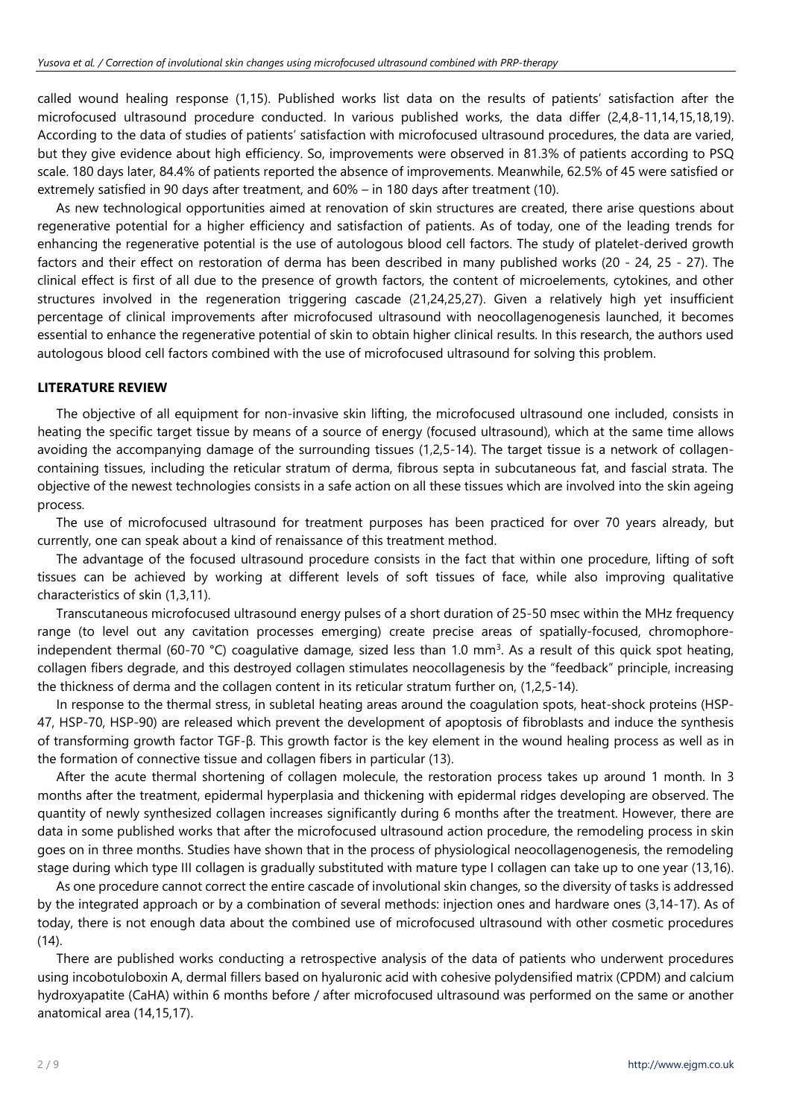called wound healing response (1,15). Published works list data on the results of patients' satisfaction after the microfocused ultrasound procedure conducted. In various published works, the data differ (2,4,8-11,14,15,18,19). According to the data of studies of patients' satisfaction with microfocused ultrasound procedures, the data are varied, but they give evidence about high efficiency. So, improvements were observed in 81.3% of patients according to PSQ scale. 180 days later, 84.4% of patients reported the absence of improvements. Meanwhile, 62.5% of 45 were satisfied or extremely satisfied in 90 days after treatment, and 60% – in 180 days after treatment (10).

As new technological opportunities aimed at renovation of skin structures are created, there arise questions about regenerative potential for a higher efficiency and satisfaction of patients. As of today, one of the leading trends for enhancing the regenerative potential is the use of autologous blood cell factors. The study of platelet-derived growth factors and their effect on restoration of derma has been described in many published works (20 - 24, 25 - 27). The clinical effect is first of all due to the presence of growth factors, the content of microelements, cytokines, and other structures involved in the regeneration triggering cascade (21,24,25,27). Given a relatively high yet insufficient percentage of clinical improvements after microfocused ultrasound with neocollagenogenesis launched, it becomes essential to enhance the regenerative potential of skin to obtain higher clinical results. In this research, the authors used autologous blood cell factors combined with the use of microfocused ultrasound for solving this problem.

#### **LITERATURE REVIEW**

The objective of all equipment for non-invasive skin lifting, the microfocused ultrasound one included, consists in heating the specific target tissue by means of a source of energy (focused ultrasound), which at the same time allows avoiding the accompanying damage of the surrounding tissues (1,2,5-14). The target tissue is a network of collagencontaining tissues, including the reticular stratum of derma, fibrous septa in subcutaneous fat, and fascial strata. The objective of the newest technologies consists in a safe action on all these tissues which are involved into the skin ageing process.

The use of microfocused ultrasound for treatment purposes has been practiced for over 70 years already, but currently, one can speak about a kind of renaissance of this treatment method.

The advantage of the focused ultrasound procedure consists in the fact that within one procedure, lifting of soft tissues can be achieved by working at different levels of soft tissues of face, while also improving qualitative characteristics of skin (1,3,11).

Transcutaneous microfocused ultrasound energy pulses of a short duration of 25-50 msec within the MHz frequency range (to level out any cavitation processes emerging) create precise areas of spatially-focused, chromophoreindependent thermal (60-70 °C) coagulative damage, sized less than 1.0 mm<sup>3</sup>. As a result of this quick spot heating, collagen fibers degrade, and this destroyed collagen stimulates neocollagenesis by the "feedback" principle, increasing the thickness of derma and the collagen content in its reticular stratum further on, (1,2,5-14).

In response to the thermal stress, in subletal heating areas around the coagulation spots, heat-shock proteins (HSP-47, HSP-70, HSP-90) are released which prevent the development of apoptosis of fibroblasts and induce the synthesis of transforming growth factor TGF-β. This growth factor is the key element in the wound healing process as well as in the formation of connective tissue and collagen fibers in particular (13).

After the acute thermal shortening of collagen molecule, the restoration process takes up around 1 month. In 3 months after the treatment, epidermal hyperplasia and thickening with epidermal ridges developing are observed. The quantity of newly synthesized collagen increases significantly during 6 months after the treatment. However, there are data in some published works that after the microfocused ultrasound action procedure, the remodeling process in skin goes on in three months. Studies have shown that in the process of physiological neocollagenogenesis, the remodeling stage during which type III collagen is gradually substituted with mature type I collagen can take up to one year (13,16).

As one procedure cannot correct the entire cascade of involutional skin changes, so the diversity of tasks is addressed by the integrated approach or by a combination of several methods: injection ones and hardware ones (3,14-17). As of today, there is not enough data about the combined use of microfocused ultrasound with other cosmetic procedures (14).

There are published works conducting a retrospective analysis of the data of patients who underwent procedures using incobotuloboxin A, dermal fillers based on hyaluronic acid with cohesive polydensified matrix (CPDM) and calcium hydroxyapatite (CaHA) within 6 months before / after microfocused ultrasound was performed on the same or another anatomical area (14,15,17).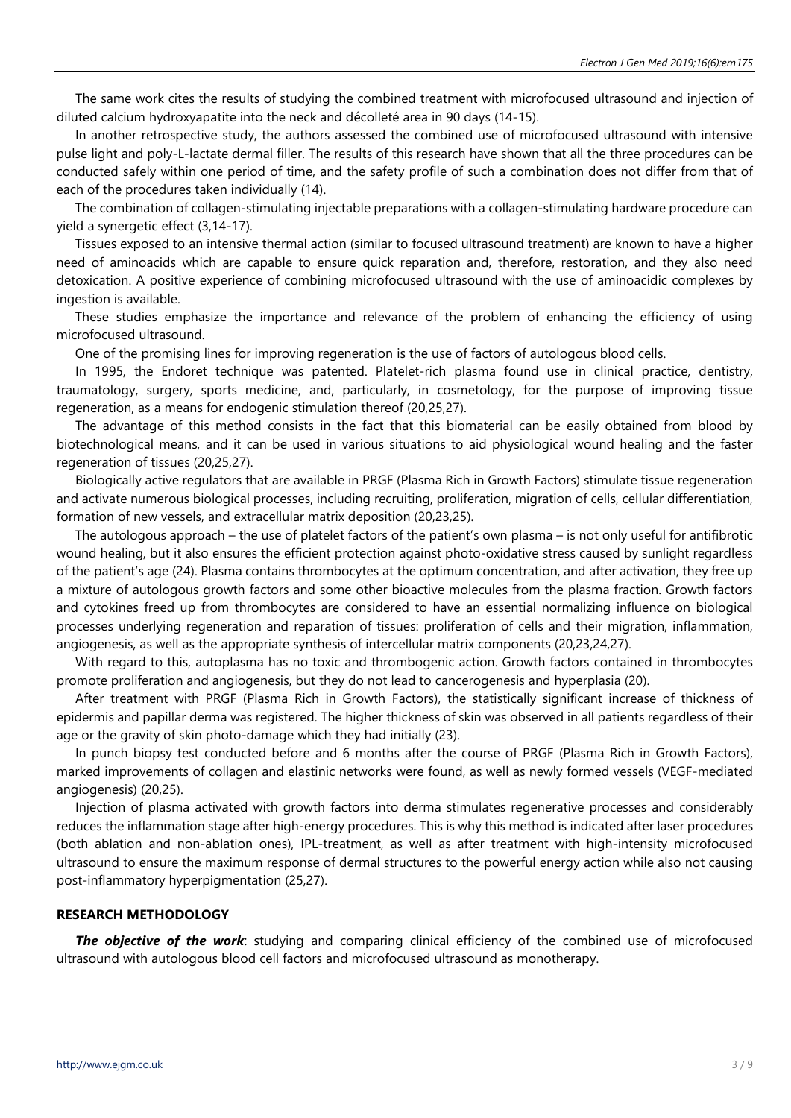The same work cites the results of studying the combined treatment with microfocused ultrasound and injection of diluted calcium hydroxyapatite into the neck and décolleté area in 90 days (14-15).

In another retrospective study, the authors assessed the combined use of microfocused ultrasound with intensive pulse light and poly-L-lactate dermal filler. The results of this research have shown that all the three procedures can be conducted safely within one period of time, and the safety profile of such a combination does not differ from that of each of the procedures taken individually (14).

The combination of collagen-stimulating injectable preparations with a collagen-stimulating hardware procedure can yield a synergetic effect (3,14-17).

Tissues exposed to an intensive thermal action (similar to focused ultrasound treatment) are known to have a higher need of aminoacids which are capable to ensure quick reparation and, therefore, restoration, and they also need detoxication. A positive experience of combining microfocused ultrasound with the use of aminoacidic complexes by ingestion is available.

These studies emphasize the importance and relevance of the problem of enhancing the efficiency of using microfocused ultrasound.

One of the promising lines for improving regeneration is the use of factors of autologous blood cells.

In 1995, the Endoret technique was patented. Platelet-rich plasma found use in clinical practice, dentistry, traumatology, surgery, sports medicine, and, particularly, in cosmetology, for the purpose of improving tissue regeneration, as a means for endogenic stimulation thereof (20,25,27).

The advantage of this method consists in the fact that this biomaterial can be easily obtained from blood by biotechnological means, and it can be used in various situations to aid physiological wound healing and the faster regeneration of tissues (20,25,27).

Biologically active regulators that are available in PRGF (Plasma Rich in Growth Factors) stimulate tissue regeneration and activate numerous biological processes, including recruiting, proliferation, migration of cells, cellular differentiation, formation of new vessels, and extracellular matrix deposition (20,23,25).

The autologous approach – the use of platelet factors of the patient's own plasma – is not only useful for antifibrotic wound healing, but it also ensures the efficient protection against photo-oxidative stress caused by sunlight regardless of the patient's age (24). Plasma contains thrombocytes at the optimum concentration, and after activation, they free up a mixture of autologous growth factors and some other bioactive molecules from the plasma fraction. Growth factors and cytokines freed up from thrombocytes are considered to have an essential normalizing influence on biological processes underlying regeneration and reparation of tissues: proliferation of cells and their migration, inflammation, angiogenesis, as well as the appropriate synthesis of intercellular matrix components (20,23,24,27).

With regard to this, autoplasma has no toxic and thrombogenic action. Growth factors contained in thrombocytes promote proliferation and angiogenesis, but they do not lead to cancerogenesis and hyperplasia (20).

After treatment with PRGF (Plasma Rich in Growth Factors), the statistically significant increase of thickness of epidermis and papillar derma was registered. The higher thickness of skin was observed in all patients regardless of their age or the gravity of skin photo-damage which they had initially (23).

In punch biopsy test conducted before and 6 months after the course of PRGF (Plasma Rich in Growth Factors), marked improvements of collagen and elastinic networks were found, as well as newly formed vessels (VEGF-mediated angiogenesis) (20,25).

Injection of plasma activated with growth factors into derma stimulates regenerative processes and considerably reduces the inflammation stage after high-energy procedures. This is why this method is indicated after laser procedures (both ablation and non-ablation ones), IPL-treatment, as well as after treatment with high-intensity microfocused ultrasound to ensure the maximum response of dermal structures to the powerful energy action while also not causing post-inflammatory hyperpigmentation (25,27).

### **RESEARCH METHODOLOGY**

*The objective of the work*: studying and comparing clinical efficiency of the combined use of microfocused ultrasound with autologous blood cell factors and microfocused ultrasound as monotherapy.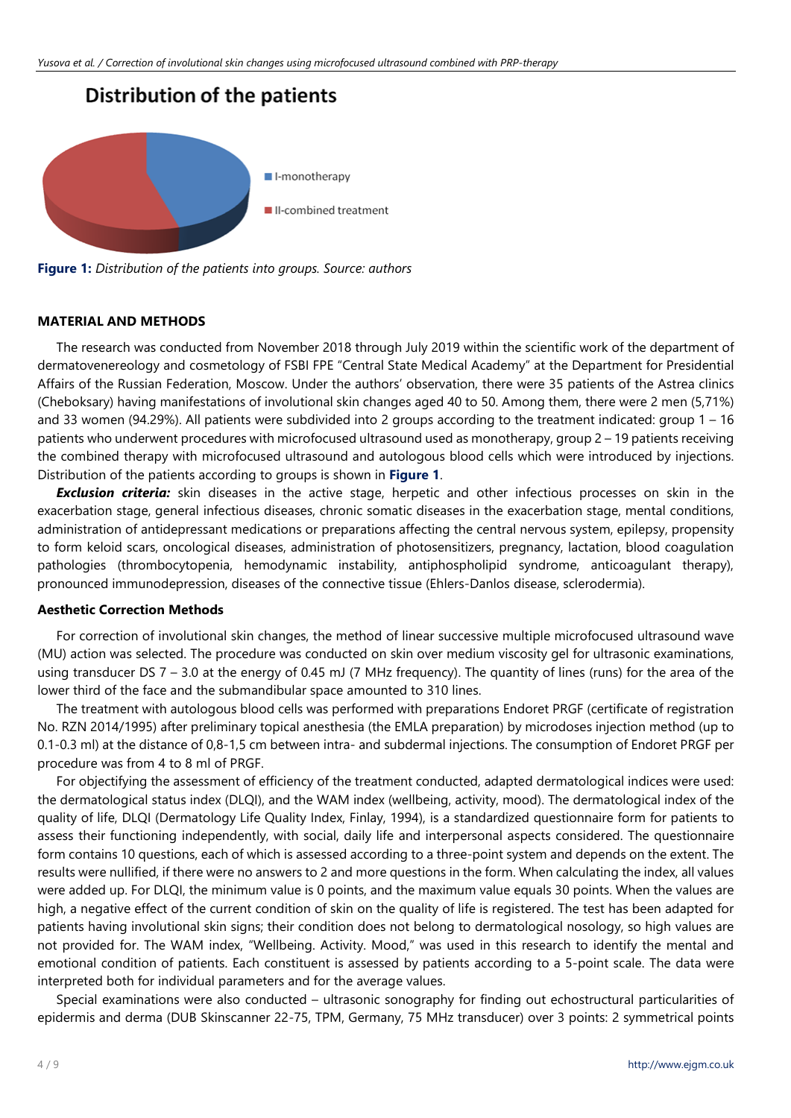# Distribution of the patients



**Figure 1:** *Distribution of the patients into groups. Source: authors*

# **MATERIAL AND METHODS**

The research was conducted from November 2018 through July 2019 within the scientific work of the department of dermatovenereology and cosmetology of FSBI FPE "Central State Medical Academy" at the Department for Presidential Affairs of the Russian Federation, Moscow. Under the authors' observation, there were 35 patients of the Astrea clinics (Cheboksary) having manifestations of involutional skin changes aged 40 to 50. Among them, there were 2 men (5,71%) and 33 women (94.29%). All patients were subdivided into 2 groups according to the treatment indicated: group 1 – 16 patients who underwent procedures with microfocused ultrasound used as monotherapy, group 2 – 19 patients receiving the combined therapy with microfocused ultrasound and autologous blood cells which were introduced by injections. Distribution of the patients according to groups is shown in **Figure 1**.

*Exclusion criteria:* skin diseases in the active stage, herpetic and other infectious processes on skin in the exacerbation stage, general infectious diseases, chronic somatic diseases in the exacerbation stage, mental conditions, administration of antidepressant medications or preparations affecting the central nervous system, epilepsy, propensity to form keloid scars, oncological diseases, administration of photosensitizers, pregnancy, lactation, blood coagulation pathologies (thrombocytopenia, hemodynamic instability, antiphospholipid syndrome, anticoagulant therapy), pronounced immunodepression, diseases of the connective tissue (Ehlers-Danlos disease, sclerodermia).

# **Aesthetic Correction Methods**

For correction of involutional skin changes, the method of linear successive multiple microfocused ultrasound wave (MU) action was selected. The procedure was conducted on skin over medium viscosity gel for ultrasonic examinations, using transducer DS 7 – 3.0 at the energy of 0.45 mJ (7 MHz frequency). The quantity of lines (runs) for the area of the lower third of the face and the submandibular space amounted to 310 lines.

The treatment with autologous blood cells was performed with preparations Endoret PRGF (certificate of registration No. RZN 2014/1995) after preliminary topical anesthesia (the EMLA preparation) by microdoses injection method (up to 0.1-0.3 ml) at the distance of 0,8-1,5 cm between intra- and subdermal injections. The consumption of Endoret PRGF per procedure was from 4 to 8 ml of PRGF.

For objectifying the assessment of efficiency of the treatment conducted, adapted dermatological indices were used: the dermatological status index (DLQI), and the WAM index (wellbeing, activity, mood). The dermatological index of the quality of life, DLQI (Dermatology Life Quality Index, Finlay, 1994), is a standardized questionnaire form for patients to assess their functioning independently, with social, daily life and interpersonal aspects considered. The questionnaire form contains 10 questions, each of which is assessed according to a three-point system and depends on the extent. The results were nullified, if there were no answers to 2 and more questions in the form. When calculating the index, all values were added up. For DLQI, the minimum value is 0 points, and the maximum value equals 30 points. When the values are high, a negative effect of the current condition of skin on the quality of life is registered. The test has been adapted for patients having involutional skin signs; their condition does not belong to dermatological nosology, so high values are not provided for. The WAM index, "Wellbeing. Activity. Mood," was used in this research to identify the mental and emotional condition of patients. Each constituent is assessed by patients according to a 5-point scale. The data were interpreted both for individual parameters and for the average values.

Special examinations were also conducted – ultrasonic sonography for finding out echostructural particularities of epidermis and derma (DUB Skinscanner 22-75, TPM, Germany, 75 MHz transducer) over 3 points: 2 symmetrical points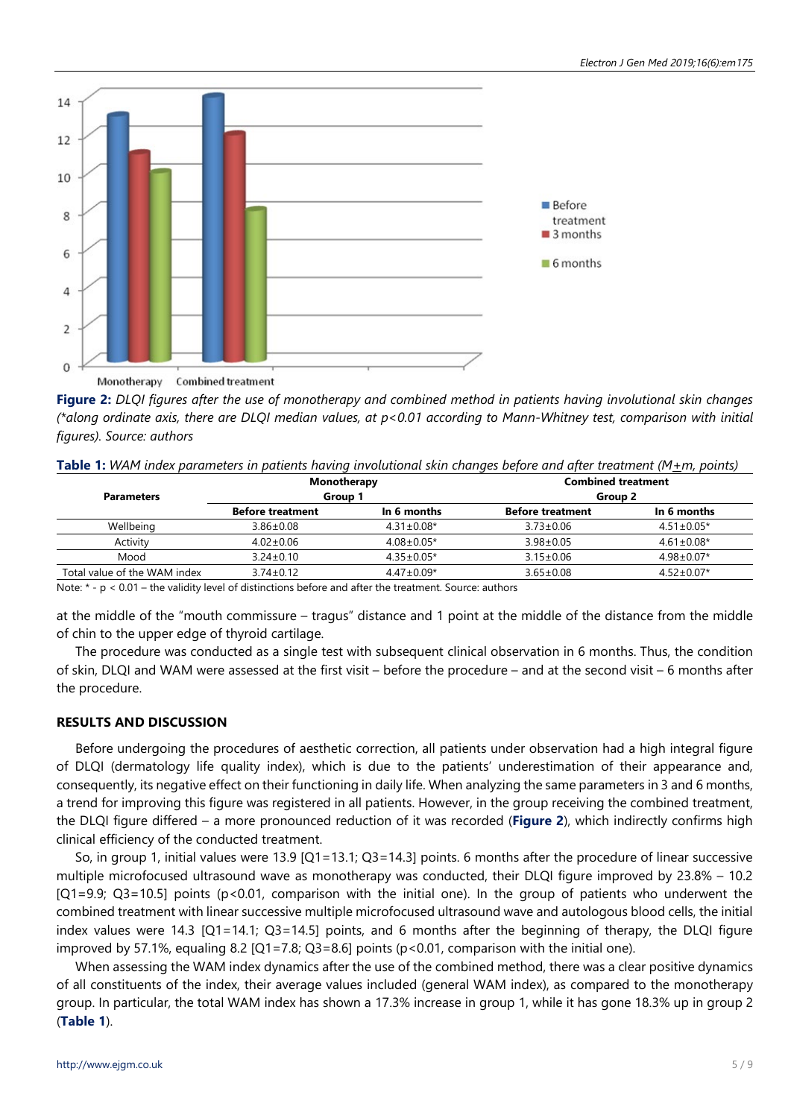

Monotherapy Combined treatment

Figure 2: DLQI figures after the use of monotherapy and combined method in patients having involutional skin changes (\*along ordinate axis, there are DLQI median values, at p<0.01 according to Mann-Whitney test, comparison with initial *figures). Source: authors*

| Table 1: WAM index parameters in patients having involutional skin changes before and after treatment ( $M+m$ , points) |  |  |  |  |
|-------------------------------------------------------------------------------------------------------------------------|--|--|--|--|
|-------------------------------------------------------------------------------------------------------------------------|--|--|--|--|

| <b>Parameters</b>            | Monotherapy<br>Group '  |                  | <b>Combined treatment</b><br>Group 2 |                  |
|------------------------------|-------------------------|------------------|--------------------------------------|------------------|
|                              | <b>Before treatment</b> | In 6 months      | <b>Before treatment</b>              | In 6 months      |
| Wellbeing                    | $3.86 \pm 0.08$         | $4.31 \pm 0.08*$ | $3.73 \pm 0.06$                      | $4.51 \pm 0.05*$ |
| Activity                     | $4.02 \pm 0.06$         | $4.08 \pm 0.05*$ | $3.98 \pm 0.05$                      | $4.61 \pm 0.08*$ |
| Mood                         | $3.24 \pm 0.10$         | $4.35 \pm 0.05*$ | $3.15 \pm 0.06$                      | $4.98 \pm 0.07*$ |
| Total value of the WAM index | $3.74 \pm 0.12$         | $4.47 \pm 0.09*$ | $3.65 \pm 0.08$                      | $4.52 \pm 0.07*$ |

Note:  $*$  - p < 0.01 – the validity level of distinctions before and after the treatment. Source: authors

at the middle of the "mouth commissure – tragus" distance and 1 point at the middle of the distance from the middle of chin to the upper edge of thyroid cartilage.

The procedure was conducted as a single test with subsequent clinical observation in 6 months. Thus, the condition of skin, DLQI and WAM were assessed at the first visit – before the procedure – and at the second visit – 6 months after the procedure.

# **RESULTS AND DISCUSSION**

Before undergoing the procedures of aesthetic correction, all patients under observation had a high integral figure of DLQI (dermatology life quality index), which is due to the patients' underestimation of their appearance and, consequently, its negative effect on their functioning in daily life. When analyzing the same parameters in 3 and 6 months, a trend for improving this figure was registered in all patients. However, in the group receiving the combined treatment, the DLQI figure differed – a more pronounced reduction of it was recorded (**Figure 2**), which indirectly confirms high clinical efficiency of the conducted treatment.

So, in group 1, initial values were 13.9 [Q1=13.1; Q3=14.3] points. 6 months after the procedure of linear successive multiple microfocused ultrasound wave as monotherapy was conducted, their DLQI figure improved by 23.8% – 10.2  $[Q1=9.9; Q3=10.5]$  points  $(p<0.01,$  comparison with the initial one). In the group of patients who underwent the combined treatment with linear successive multiple microfocused ultrasound wave and autologous blood cells, the initial index values were 14.3 [Q1=14.1; Q3=14.5] points, and 6 months after the beginning of therapy, the DLQI figure improved by 57.1%, equaling 8.2  $[Q1=7.8; Q3=8.6]$  points (p<0.01, comparison with the initial one).

When assessing the WAM index dynamics after the use of the combined method, there was a clear positive dynamics of all constituents of the index, their average values included (general WAM index), as compared to the monotherapy group. In particular, the total WAM index has shown a 17.3% increase in group 1, while it has gone 18.3% up in group 2 (**Table 1**).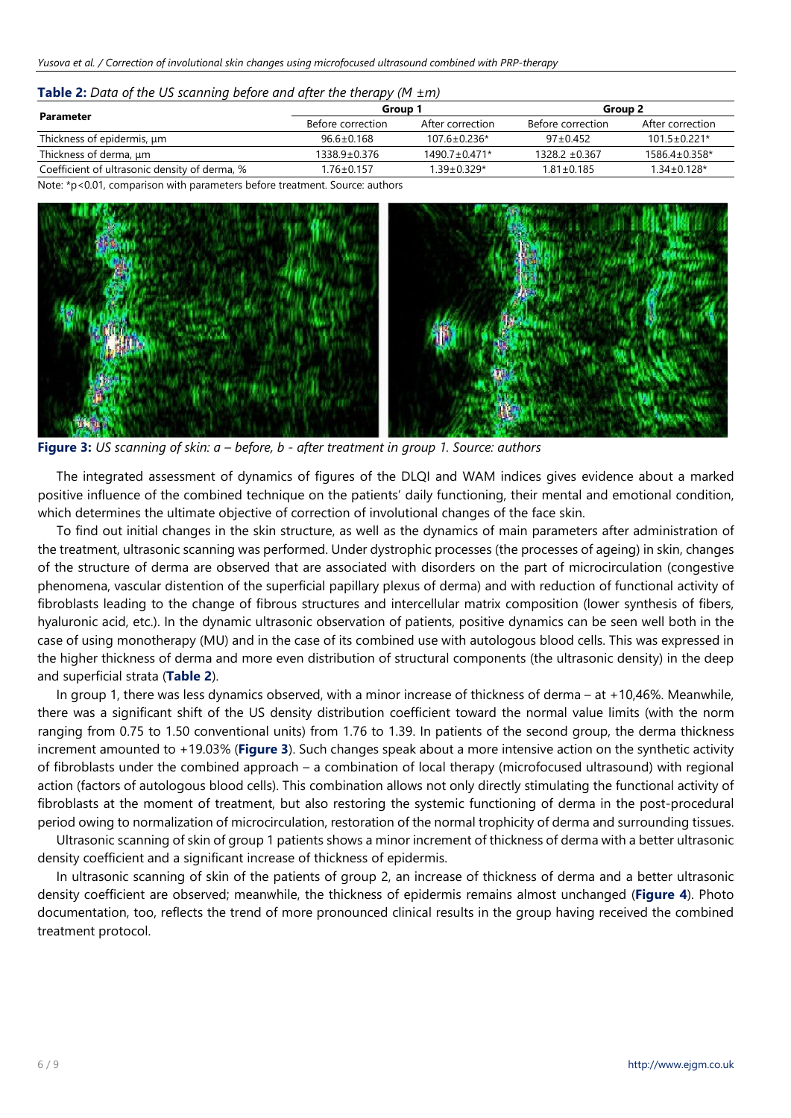| Table 2: Data of the US scanning before and after the therapy ( $M \pm m$ ) |  |  |  |
|-----------------------------------------------------------------------------|--|--|--|
|-----------------------------------------------------------------------------|--|--|--|

| <b>Parameter</b>                              | Group             |                     | Group 2           |                    |
|-----------------------------------------------|-------------------|---------------------|-------------------|--------------------|
|                                               | Before correction | After correction    | Before correction | After correction   |
| Thickness of epidermis, um                    | $96.6 \pm 0.168$  | $107.6 \pm 0.236*$  | $97+0.452$        | $101.5 \pm 0.221*$ |
| Thickness of derma, um                        | 1338.9±0.376      | $1490.7 \pm 0.471*$ | $1328.2 + 0.367$  | 1586.4±0.358*      |
| Coefficient of ultrasonic density of derma, % | 1.76±0.157        | 1 39+0 329*         | $1.81 \pm 0.185$  | 1 34+0 128*        |

Note: \*p<0.01, comparison with parameters before treatment. Source: authors



**Figure 3:** *US scanning of skin: a – before, b - after treatment in group 1. Source: authors*

The integrated assessment of dynamics of figures of the DLOI and WAM indices gives evidence about a marked positive influence of the combined technique on the patients' daily functioning, their mental and emotional condition, which determines the ultimate objective of correction of involutional changes of the face skin.

To find out initial changes in the skin structure, as well as the dynamics of main parameters after administration of the treatment, ultrasonic scanning was performed. Under dystrophic processes (the processes of ageing) in skin, changes of the structure of derma are observed that are associated with disorders on the part of microcirculation (congestive phenomena, vascular distention of the superficial papillary plexus of derma) and with reduction of functional activity of fibroblasts leading to the change of fibrous structures and intercellular matrix composition (lower synthesis of fibers, hyaluronic acid, etc.). In the dynamic ultrasonic observation of patients, positive dynamics can be seen well both in the case of using monotherapy (MU) and in the case of its combined use with autologous blood cells. This was expressed in the higher thickness of derma and more even distribution of structural components (the ultrasonic density) in the deep and superficial strata (**Table 2**).

In group 1, there was less dynamics observed, with a minor increase of thickness of derma – at +10,46%. Meanwhile, there was a significant shift of the US density distribution coefficient toward the normal value limits (with the norm ranging from 0.75 to 1.50 conventional units) from 1.76 to 1.39. In patients of the second group, the derma thickness increment amounted to +19.03% (**Figure 3**). Such changes speak about a more intensive action on the synthetic activity of fibroblasts under the combined approach – a combination of local therapy (microfocused ultrasound) with regional action (factors of autologous blood cells). This combination allows not only directly stimulating the functional activity of fibroblasts at the moment of treatment, but also restoring the systemic functioning of derma in the post-procedural period owing to normalization of microcirculation, restoration of the normal trophicity of derma and surrounding tissues.

Ultrasonic scanning of skin of group 1 patients shows a minor increment of thickness of derma with a better ultrasonic density coefficient and a significant increase of thickness of epidermis.

In ultrasonic scanning of skin of the patients of group 2, an increase of thickness of derma and a better ultrasonic density coefficient are observed; meanwhile, the thickness of epidermis remains almost unchanged (**Figure 4**). Photo documentation, too, reflects the trend of more pronounced clinical results in the group having received the combined treatment protocol.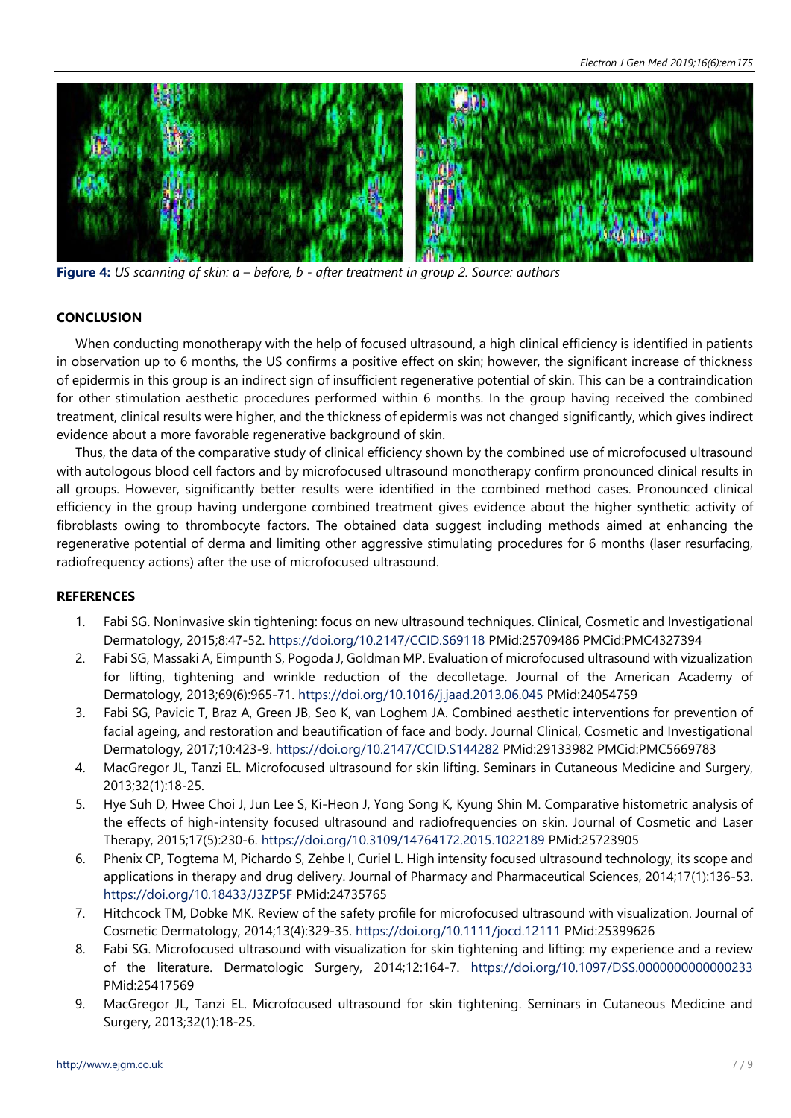

**Figure 4:** *US scanning of skin: a – before, b - after treatment in group 2. Source: authors*

# **CONCLUSION**

When conducting monotherapy with the help of focused ultrasound, a high clinical efficiency is identified in patients in observation up to 6 months, the US confirms a positive effect on skin; however, the significant increase of thickness of epidermis in this group is an indirect sign of insufficient regenerative potential of skin. This can be a contraindication for other stimulation aesthetic procedures performed within 6 months. In the group having received the combined treatment, clinical results were higher, and the thickness of epidermis was not changed significantly, which gives indirect evidence about a more favorable regenerative background of skin.

Thus, the data of the comparative study of clinical efficiency shown by the combined use of microfocused ultrasound with autologous blood cell factors and by microfocused ultrasound monotherapy confirm pronounced clinical results in all groups. However, significantly better results were identified in the combined method cases. Pronounced clinical efficiency in the group having undergone combined treatment gives evidence about the higher synthetic activity of fibroblasts owing to thrombocyte factors. The obtained data suggest including methods aimed at enhancing the regenerative potential of derma and limiting other aggressive stimulating procedures for 6 months (laser resurfacing, radiofrequency actions) after the use of microfocused ultrasound.

# **REFERENCES**

- 1. Fabi SG. Noninvasive skin tightening: focus on new ultrasound techniques. Clinical, Cosmetic and Investigational Dermatology, 2015;8:47-52. <https://doi.org/10.2147/CCID.S69118> PMid:25709486 PMCid:PMC4327394
- 2. Fabi SG, Massaki A, Eimpunth S, Pogoda J, Goldman MP. Evaluation of microfocused ultrasound with vizualization for lifting, tightening and wrinkle reduction of the decolletage. Journal of the American Academy of Dermatology, 2013;69(6):965-71. <https://doi.org/10.1016/j.jaad.2013.06.045> PMid:24054759
- 3. Fabi SG, Pavicic T, Braz A, Green JB, Seo K, van Loghem JA. Combined aesthetic interventions for prevention of facial ageing, and restoration and beautification of face and body. Journal Clinical, Cosmetic and Investigational Dermatology, 2017;10:423-9. <https://doi.org/10.2147/CCID.S144282> PMid:29133982 PMCid:PMC5669783
- 4. MacGregor JL, Tanzi EL. Microfocused ultrasound for skin lifting. Seminars in Cutaneous Medicine and Surgery, 2013;32(1):18-25.
- 5. Hye Suh D, Hwee Choi J, Jun Lee S, Ki-Heon J, Yong Song K, Kyung Shin M. Comparative histometric analysis of the effects of high-intensity focused ultrasound and radiofrequencies on skin. Journal of Cosmetic and Laser Therapy, 2015;17(5):230-6. <https://doi.org/10.3109/14764172.2015.1022189> PMid:25723905
- 6. Phenix CP, Togtema M, Pichardo S, Zehbe I, Curiel L. High intensity focused ultrasound technology, its scope and applications in therapy and drug delivery. Journal of Pharmacy and Pharmaceutical Sciences, 2014;17(1):136-53. <https://doi.org/10.18433/J3ZP5F> PMid:24735765
- 7. Hitchcock TM, Dobke MK. Review of the safety profile for microfocused ultrasound with visualization. Journal of Cosmetic Dermatology, 2014;13(4):329-35. <https://doi.org/10.1111/jocd.12111> PMid:25399626
- 8. Fabi SG. Microfocused ultrasound with visualization for skin tightening and lifting: my experience and a review of the literature. Dermatologic Surgery, 2014;12:164-7. <https://doi.org/10.1097/DSS.0000000000000233> PMid:25417569
- 9. MacGregor JL, Tanzi EL. Microfocused ultrasound for skin tightening. Seminars in Cutaneous Medicine and Surgery, 2013;32(1):18-25.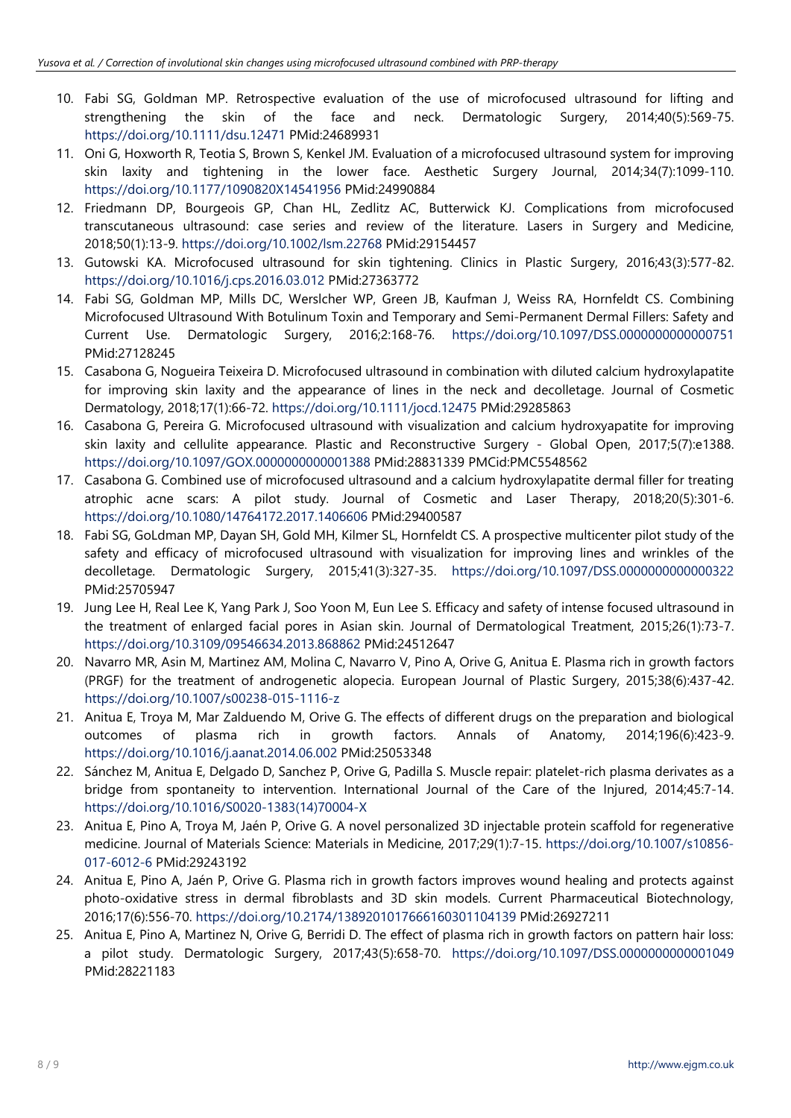- 10. Fabi SG, Goldman MP. Retrospective evaluation of the use of microfocused ultrasound for lifting and strengthening the skin of the face and neck. Dermatologic Surgery, 2014;40(5):569-75. <https://doi.org/10.1111/dsu.12471> PMid:24689931
- 11. Oni G, Hoxworth R, Teotia S, Brown S, Kenkel JM. Evaluation of a microfocused ultrasound system for improving skin laxity and tightening in the lower face. Aesthetic Surgery Journal, 2014;34(7):1099-110. <https://doi.org/10.1177/1090820X14541956> PMid:24990884
- 12. Friedmann DP, Bourgeois GP, Chan HL, Zedlitz AC, Butterwick KJ. Complications from microfocused transcutaneous ultrasound: case series and review of the literature. Lasers in Surgery and Medicine, 2018;50(1):13-9. <https://doi.org/10.1002/lsm.22768> PMid:29154457
- 13. Gutowski KA. Microfocused ultrasound for skin tightening. Clinics in Plastic Surgery, 2016;43(3):577-82. <https://doi.org/10.1016/j.cps.2016.03.012> PMid:27363772
- 14. Fabi SG, Goldman MP, Mills DC, Werslcher WP, Green JB, Kaufman J, Weiss RA, Hornfeldt CS. Combining Microfocused Ultrasound With Botulinum Toxin and Temporary and Semi-Permanent Dermal Fillers: Safety and Current Use. Dermatologic Surgery, 2016;2:168-76. <https://doi.org/10.1097/DSS.0000000000000751> PMid:27128245
- 15. Casabona G, Nogueira Teixeira D. Microfocused ultrasound in combination with diluted calcium hydroxylapatite for improving skin laxity and the appearance of lines in the neck and decolletage. Journal of Cosmetic Dermatology, 2018;17(1):66-72. <https://doi.org/10.1111/jocd.12475> PMid:29285863
- 16. Casabona G, Pereira G. Microfocused ultrasound with visualization and calcium hydroxyapatite for improving skin laxity and cellulite appearance. Plastic and Reconstructive Surgery - Global Open, 2017;5(7):e1388. <https://doi.org/10.1097/GOX.0000000000001388> PMid:28831339 PMCid:PMC5548562
- 17. Casabona G. Combined use of microfocused ultrasound and a calcium hydroxylapatite dermal filler for treating atrophic acne scars: A pilot study. Journal of Cosmetic and Laser Therapy, 2018;20(5):301-6. <https://doi.org/10.1080/14764172.2017.1406606> PMid:29400587
- 18. Fabi SG, GoLdman MP, Dayan SH, Gold MH, Kilmer SL, Hornfeldt CS. A prospective multicenter pilot study of the safety and efficacy of microfocused ultrasound with visualization for improving lines and wrinkles of the decolletage. Dermatologic Surgery, 2015;41(3):327-35. <https://doi.org/10.1097/DSS.0000000000000322> PMid:25705947
- 19. Jung Lee H, Real Lee K, Yang Park J, Soo Yoon M, Eun Lee S. Efficacy and safety of intense focused ultrasound in the treatment of enlarged facial pores in Asian skin. Journal of Dermatological Treatment, 2015;26(1):73-7. <https://doi.org/10.3109/09546634.2013.868862> PMid:24512647
- 20. Navarro MR, Asin M, Martinez AM, Molina C, Navarro V, Pino A, Orive G, Anitua E. Plasma rich in growth factors (PRGF) for the treatment of androgenetic alopecia. European Journal of Plastic Surgery, 2015;38(6):437-42. <https://doi.org/10.1007/s00238-015-1116-z>
- 21. Anitua E, Troya M, Mar Zalduendo M, Orive G. The effects of different drugs on the preparation and biological outcomes of plasma rich in growth factors. Annals of Anatomy, 2014;196(6):423-9. <https://doi.org/10.1016/j.aanat.2014.06.002> PMid:25053348
- 22. Sánchez M, Anitua E, Delgado D, Sanchez P, Orive G, Padilla S. Muscle repair: platelet-rich plasma derivates as a bridge from spontaneity to intervention. International Journal of the Care of the Injured, 2014;45:7-14. [https://doi.org/10.1016/S0020-1383\(14\)70004-X](https://doi.org/10.1016/S0020-1383(14)70004-X)
- 23. Anitua E, Pino A, Troya M, Jaén P, Orive G. A novel personalized 3D injectable protein scaffold for regenerative medicine. Journal of Materials Science: Materials in Medicine, 2017;29(1):7-15. [https://doi.org/10.1007/s10856-](https://doi.org/10.1007/s10856-017-6012-6) [017-6012-6](https://doi.org/10.1007/s10856-017-6012-6) PMid:29243192
- 24. Anitua E, Pino A, Jaén P, Orive G. Plasma rich in growth factors improves wound healing and protects against photo-oxidative stress in dermal fibroblasts and 3D skin models. Current Pharmaceutical Biotechnology, 2016;17(6):556-70. <https://doi.org/10.2174/1389201017666160301104139> PMid:26927211
- 25. Anitua E, Pino A, Martinez N, Orive G, Berridi D. The effect of plasma rich in growth factors on pattern hair loss: a pilot study. Dermatologic Surgery, 2017;43(5):658-70. <https://doi.org/10.1097/DSS.0000000000001049> PMid:28221183